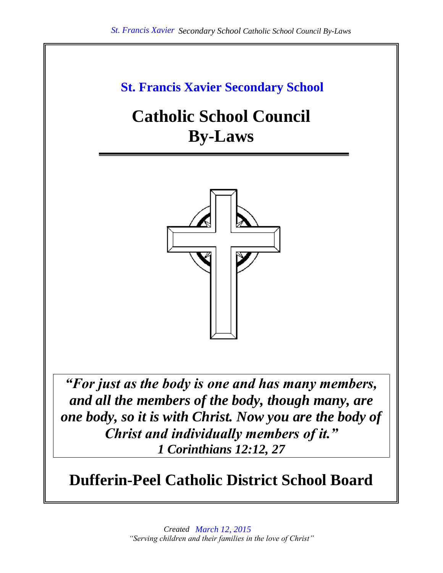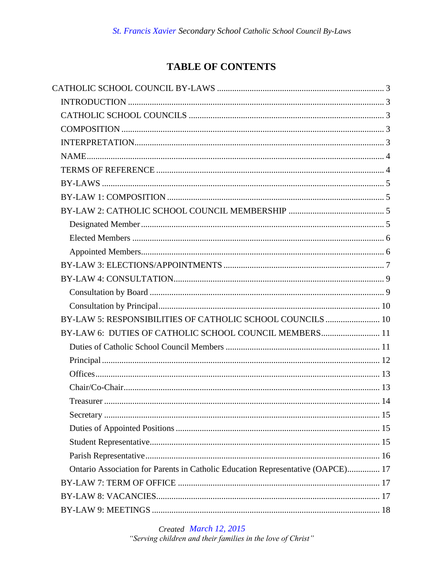# **TABLE OF CONTENTS**

| BY-LAW 5: RESPONSIBILITIES OF CATHOLIC SCHOOL COUNCILS  10                      |  |
|---------------------------------------------------------------------------------|--|
| BY-LAW 6: DUTIES OF CATHOLIC SCHOOL COUNCIL MEMBERS 11                          |  |
|                                                                                 |  |
|                                                                                 |  |
|                                                                                 |  |
|                                                                                 |  |
|                                                                                 |  |
|                                                                                 |  |
|                                                                                 |  |
|                                                                                 |  |
|                                                                                 |  |
| Ontario Association for Parents in Catholic Education Representative (OAPCE) 17 |  |
|                                                                                 |  |
|                                                                                 |  |
|                                                                                 |  |

Created March 12, 2015 "Serving children and their families in the love of Christ"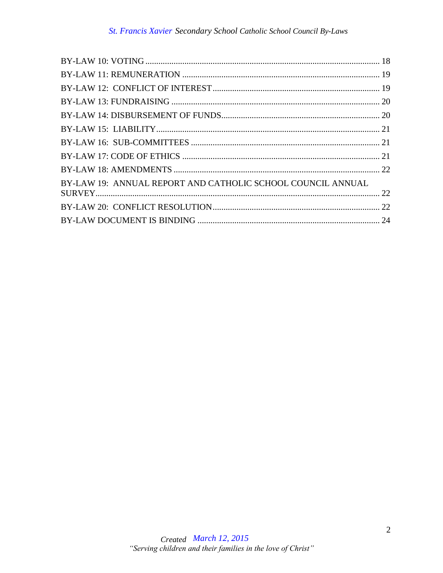| BY-LAW 19: ANNUAL REPORT AND CATHOLIC SCHOOL COUNCIL ANNUAL |  |
|-------------------------------------------------------------|--|
|                                                             |  |
|                                                             |  |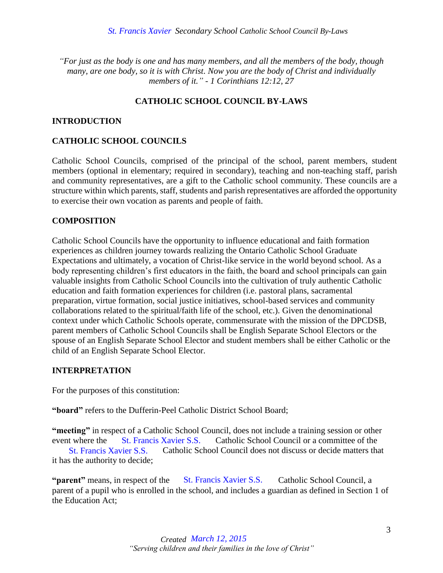*"For just as the body is one and has many members, and all the members of the body, though many, are one body, so it is with Christ. Now you are the body of Christ and individually members of it." - 1 Corinthians 12:12, 27*

# **CATHOLIC SCHOOL COUNCIL BY-LAWS**

# <span id="page-3-1"></span><span id="page-3-0"></span>**INTRODUCTION**

#### <span id="page-3-2"></span>**CATHOLIC SCHOOL COUNCILS**

Catholic School Councils, comprised of the principal of the school, parent members, student members (optional in elementary; required in secondary), teaching and non-teaching staff, parish and community representatives, are a gift to the Catholic school community. These councils are a structure within which parents, staff, students and parish representatives are afforded the opportunity to exercise their own vocation as parents and people of faith.

#### <span id="page-3-3"></span>**COMPOSITION**

Catholic School Councils have the opportunity to influence educational and faith formation experiences as children journey towards realizing the Ontario Catholic School Graduate Expectations and ultimately, a vocation of Christ-like service in the world beyond school. As a body representing children's first educators in the faith, the board and school principals can gain valuable insights from Catholic School Councils into the cultivation of truly authentic Catholic education and faith formation experiences for children (i.e. pastoral plans, sacramental preparation, virtue formation, social justice initiatives, school-based services and community collaborations related to the spiritual/faith life of the school, etc.). Given the denominational context under which Catholic Schools operate, commensurate with the mission of the DPCDSB, parent members of Catholic School Councils shall be English Separate School Electors or the spouse of an English Separate School Elector and student members shall be either Catholic or the child of an English Separate School Elector.

#### <span id="page-3-4"></span>**INTERPRETATION**

For the purposes of this constitution:

**"board"** refers to the Dufferin-Peel Catholic District School Board;

**"meeting"** in respect of a Catholic School Council, does not include a training session or other event where the St. Francis Xavier S.S. Catholic School Council or a committee of the

St. Francis Xavier S.S. Catholic School Council does not discuss or decide matters that it has the authority to decide;

"**parent**" means, in respect of the St. Francis Xavier S.S. Catholic School Council, a parent of a pupil who is enrolled in the school, and includes a guardian as defined in Section 1 of the Education Act; *March 12, 2015*<br>*March 12, 2015* St. Francis Xavier S.S. Catholic School Council does<br>the authority to decide;<br>**Acching 12, 2015**<br>*March 12, 2015* St. Francis Xavier S.S.<br>*Created March 12, 2015*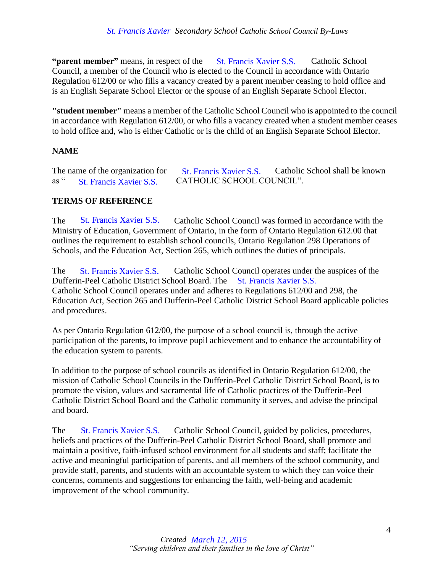**"parent member"** means, in respect of the St. Francis Xavier S.S. Catholic School Council, a member of the Council who is elected to the Council in accordance with Ontario Regulation 612/00 or who fills a vacancy created by a parent member ceasing to hold office and is an English Separate School Elector or the spouse of an English Separate School Elector.

**"student member"** means a member of the Catholic School Council who is appointed to the council in accordance with Regulation 612/00, or who fills a vacancy created when a student member ceases to hold office and, who is either Catholic or is the child of an English Separate School Elector.

# <span id="page-4-0"></span>**NAME**

|             | The name of the organization for | <b>St. Francis Xavier S.S.</b> | Catholic School shall be known |
|-------------|----------------------------------|--------------------------------|--------------------------------|
| as $\alpha$ | <b>St. Francis Xavier S.S.</b>   | CATHOLIC SCHOOL COUNCIL".      |                                |

# <span id="page-4-1"></span>**TERMS OF REFERENCE**

The St. Francis Xavier S.S. Catholic School Council was formed in accordance with the Ministry of Education, Government of Ontario, in the form of Ontario Regulation 612.00 that outlines the requirement to establish school councils, Ontario Regulation 298 Operations of Schools, and the Education Act, Section 265, which outlines the duties of principals.

The St. Francis Xavier S.S. Catholic School Council operates under the auspices of the Dufferin-Peel Catholic District School Board. The St. Francis Xavier S.S. Catholic School Council operates under and adheres to Regulations 612/00 and 298, the Education Act, Section 265 and Dufferin-Peel Catholic District School Board applicable policies and procedures.

As per Ontario Regulation 612/00, the purpose of a school council is, through the active participation of the parents, to improve pupil achievement and to enhance the accountability of the education system to parents.

In addition to the purpose of school councils as identified in Ontario Regulation 612/00, the mission of Catholic School Councils in the Dufferin-Peel Catholic District School Board, is to promote the vision, values and sacramental life of Catholic practices of the Dufferin-Peel Catholic District School Board and the Catholic community it serves, and advise the principal and board.

The St. Francis Xavier S.S. Catholic School Council, guided by policies, procedures, beliefs and practices of the Dufferin-Peel Catholic District School Board, shall promote and maintain a positive, faith-infused school environment for all students and staff; facilitate the active and meaningful participation of parents, and all members of the school community, and provide staff, parents, and students with an accountable system to which they can voice their concerns, comments and suggestions for enhancing the faith, well-being and academic improvement of the school community. **March<sup>32</sup>** means, in respect of the St. Francis Xavier S.S. Connel in accordation of 12/00 or who fills a vacancy created by a parent member ceasing<br>this Separate School Elector or the spouse of an English Separate School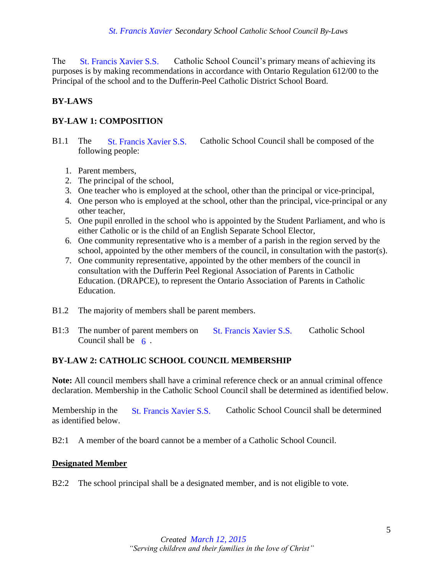The St. Francis Xavier S.S. Catholic School Council's primary means of achieving its purposes is by making recommendations in accordance with Ontario Regulation 612/00 to the Principal of the school and to the Dufferin-Peel Catholic District School Board.

# <span id="page-5-0"></span>**BY-LAWS**

# <span id="page-5-1"></span>**BY-LAW 1: COMPOSITION**

- B1.1 The St. Francis Xavier S.S. Catholic School Council shall be composed of the following people:
	- 1. Parent members,
	- 2. The principal of the school,
	- 3. One teacher who is employed at the school, other than the principal or vice-principal,
	- 4. One person who is employed at the school, other than the principal, vice-principal or any other teacher,
	- 5. One pupil enrolled in the school who is appointed by the Student Parliament, and who is either Catholic or is the child of an English Separate School Elector,
	- 6. One community representative who is a member of a parish in the region served by the school, appointed by the other members of the council, in consultation with the pastor(s).
- 7. One community representative, appointed by the other members of the council in consultation with the Dufferin Peel Regional Association of Parents in Catholic Education. (DRAPCE), to represent the Ontario Association of Parents in Catholic Education. *March Xavier S.S.* Cahiblic School Council's primary S. St. Trancis Xavier S.S. Catholic School Council's primariol of the school station of the St. Francis Xavier S.S. Catholic School Council solution's St. Francis Xavie
- B1.2 The majority of members shall be parent members.
- B1:3 The number of parent members on St. Francis Xavier S.S. Catholic School Council shall be  $\epsilon$ .

# <span id="page-5-2"></span>**BY-LAW 2: CATHOLIC SCHOOL COUNCIL MEMBERSHIP**

**Note:** All council members shall have a criminal reference check or an annual criminal offence declaration. Membership in the Catholic School Council shall be determined as identified below.

Membership in the St. Francis Xavier S.S. Catholic School Council shall be determined as identified below.

B2:1 A member of the board cannot be a member of a Catholic School Council.

# <span id="page-5-3"></span>**Designated Member**

B2:2 The school principal shall be a designated member, and is not eligible to vote.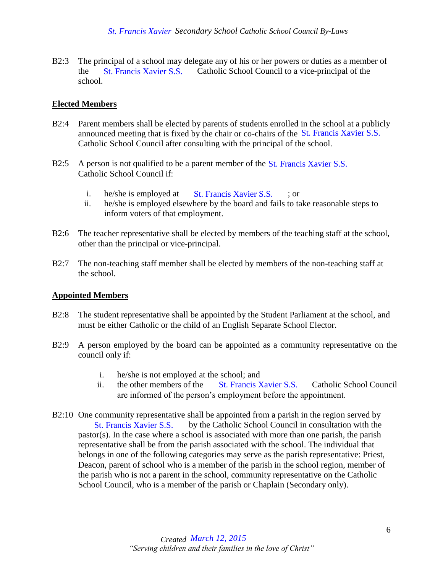B2:3 The principal of a school may delegate any of his or her powers or duties as a member of the St. Francis Xavier S.S. Catholic School Council to a vice-principal of the school.

# <span id="page-6-0"></span>**Elected Members**

- B2:4 Parent members shall be elected by parents of students enrolled in the school at a publicly announced meeting that is fixed by the chair or co-chairs of the St. Francis Xavier S.S. Catholic School Council after consulting with the principal of the school.
- B2:5 A person is not qualified to be a parent member of the St. Francis Xavier S.S. Catholic School Council if:
	- i. he/she is employed at  $St.$  Francis Xavier S.S.  $\therefore$  or
	- ii. he/she is employed elsewhere by the board and fails to take reasonable steps to inform voters of that employment.
- B2:6 The teacher representative shall be elected by members of the teaching staff at the school, other than the principal or vice-principal.
- B2:7 The non-teaching staff member shall be elected by members of the non-teaching staff at the school.

# <span id="page-6-1"></span>**Appointed Members**

- B2:8 The student representative shall be appointed by the Student Parliament at the school, and must be either Catholic or the child of an English Separate School Elector.
- B2:9 A person employed by the board can be appointed as a community representative on the council only if:
	- i. he/she is not employed at the school; and
	- ii. the other members of the St. Francis Xavier S.S. Catholic School Council are informed of the person's employment before the appointment.
- B2:10 One community representative shall be appointed from a parish in the region served by St. Francis Xavier S.S. by the Catholic School Council in consultation with the pastor(s). In the case where a school is associated with more than one parish, the parish representative shall be from the parish associated with the school. The individual that belongs in one of the following categories may serve as the parish representative: Priest, Deacon, parent of school who is a member of the parish in the school region, member of the parish who is not a parent in the school, community representative on the Catholic School Council, who is a member of the parish or Chaplain (Secondary only). *March 12, 14 St. Francis Xavier S.S.* Catholic School Council to a vice-principal of the school state under the singulared melaring that is fixed by the chair or co-chairs of the 8<sub>1</sub>. Francis Xavier S.S. coincil as from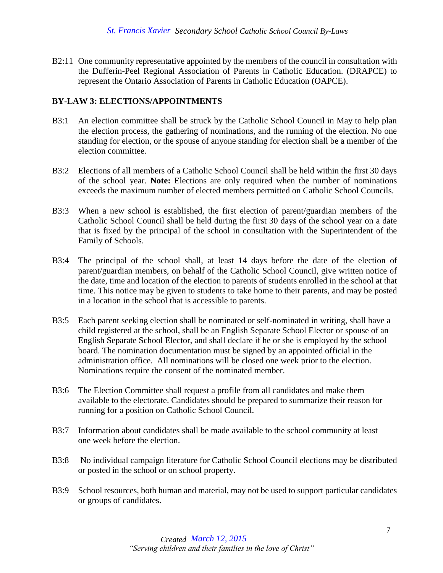B2:11 One community representative appointed by the members of the council in consultation with the Dufferin-Peel Regional Association of Parents in Catholic Education. (DRAPCE) to represent the Ontario Association of Parents in Catholic Education (OAPCE).

# <span id="page-7-0"></span>**BY-LAW 3: ELECTIONS/APPOINTMENTS**

- B3:1 An election committee shall be struck by the Catholic School Council in May to help plan the election process, the gathering of nominations, and the running of the election. No one standing for election, or the spouse of anyone standing for election shall be a member of the election committee.
- B3:2 Elections of all members of a Catholic School Council shall be held within the first 30 days of the school year. **Note:** Elections are only required when the number of nominations exceeds the maximum number of elected members permitted on Catholic School Councils.
- B3:3 When a new school is established, the first election of parent/guardian members of the Catholic School Council shall be held during the first 30 days of the school year on a date that is fixed by the principal of the school in consultation with the Superintendent of the Family of Schools.
- B3:4 The principal of the school shall, at least 14 days before the date of the election of parent/guardian members, on behalf of the Catholic School Council, give written notice of the date, time and location of the election to parents of students enrolled in the school at that time. This notice may be given to students to take home to their parents, and may be posted in a location in the school that is accessible to parents.
- B3:5 Each parent seeking election shall be nominated or self-nominated in writing, shall have a child registered at the school, shall be an English Separate School Elector or spouse of an English Separate School Elector, and shall declare if he or she is employed by the school board. The nomination documentation must be signed by an appointed official in the administration office. All nominations will be closed one week prior to the election. Nominations require the consent of the nominated member.
- B3:6 The Election Committee shall request a profile from all candidates and make them available to the electorate. Candidates should be prepared to summarize their reason for running for a position on Catholic School Council.
- B3:7 Information about candidates shall be made available to the school community at least one week before the election.
- B3:8 No individual campaign literature for Catholic School Council elections may be distributed or posted in the school or on school property.
- B3:9 School resources, both human and material, may not be used to support particular candidates or groups of candidates.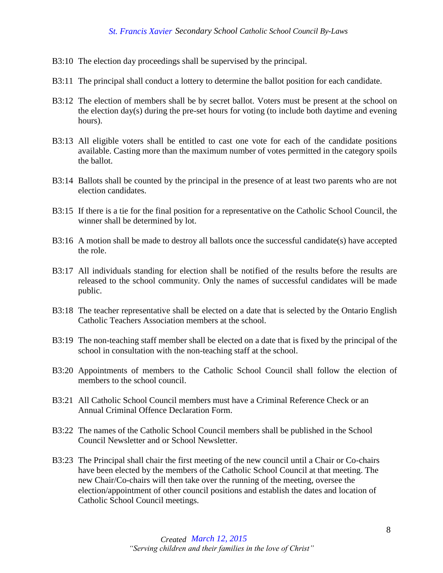- B3:10 The election day proceedings shall be supervised by the principal.
- B3:11 The principal shall conduct a lottery to determine the ballot position for each candidate.
- B3:12 The election of members shall be by secret ballot. Voters must be present at the school on the election day(s) during the pre-set hours for voting (to include both daytime and evening hours).
- B3:13 All eligible voters shall be entitled to cast one vote for each of the candidate positions available. Casting more than the maximum number of votes permitted in the category spoils the ballot.
- B3:14 Ballots shall be counted by the principal in the presence of at least two parents who are not election candidates.
- B3:15 If there is a tie for the final position for a representative on the Catholic School Council, the winner shall be determined by lot.
- B3:16 A motion shall be made to destroy all ballots once the successful candidate(s) have accepted the role.
- B3:17 All individuals standing for election shall be notified of the results before the results are released to the school community. Only the names of successful candidates will be made public.
- B3:18 The teacher representative shall be elected on a date that is selected by the Ontario English Catholic Teachers Association members at the school.
- B3:19 The non-teaching staff member shall be elected on a date that is fixed by the principal of the school in consultation with the non-teaching staff at the school.
- B3:20 Appointments of members to the Catholic School Council shall follow the election of members to the school council.
- B3:21 All Catholic School Council members must have a Criminal Reference Check or an Annual Criminal Offence Declaration Form.
- B3:22 The names of the Catholic School Council members shall be published in the School Council Newsletter and or School Newsletter.
- B3:23 The Principal shall chair the first meeting of the new council until a Chair or Co-chairs have been elected by the members of the Catholic School Council at that meeting. The new Chair/Co-chairs will then take over the running of the meeting, oversee the election/appointment of other council positions and establish the dates and location of Catholic School Council meetings.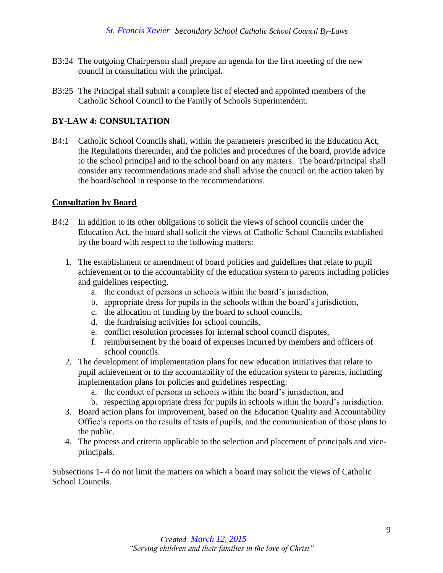- B3:24 The outgoing Chairperson shall prepare an agenda for the first meeting of the new council in consultation with the principal.
- B3:25 The Principal shall submit a complete list of elected and appointed members of the Catholic School Council to the Family of Schools Superintendent.

### <span id="page-9-0"></span>**BY-LAW 4: CONSULTATION**

B4:1 Catholic School Councils shall, within the parameters prescribed in the Education Act, the Regulations thereunder, and the policies and procedures of the board, provide advice to the school principal and to the school board on any matters. The board/principal shall consider any recommendations made and shall advise the council on the action taken by the board/school in response to the recommendations.

#### <span id="page-9-1"></span>**Consultation by Board**

- B4:2 In addition to its other obligations to solicit the views of school councils under the Education Act, the board shall solicit the views of Catholic School Councils established by the board with respect to the following matters:
	- 1. The establishment or amendment of board policies and guidelines that relate to pupil achievement or to the accountability of the education system to parents including policies and guidelines respecting,
		- a. the conduct of persons in schools within the board's jurisdiction,
		- b. appropriate dress for pupils in the schools within the board's jurisdiction,
		- c. the allocation of funding by the board to school councils,
		- d. the fundraising activities for school councils,
		- e. conflict resolution processes for internal school council disputes,
		- f. reimbursement by the board of expenses incurred by members and officers of school councils.
	- 2. The development of implementation plans for new education initiatives that relate to pupil achievement or to the accountability of the education system to parents, including implementation plans for policies and guidelines respecting:
		- a. the conduct of persons in schools within the board's jurisdiction, and
		- b. respecting appropriate dress for pupils in schools within the board's jurisdiction.
	- 3. Board action plans for improvement, based on the Education Quality and Accountability Office's reports on the results of tests of pupils, and the communication of those plans to the public.
	- 4. The process and criteria applicable to the selection and placement of principals and viceprincipals.

Subsections 1- 4 do not limit the matters on which a board may solicit the views of Catholic School Councils.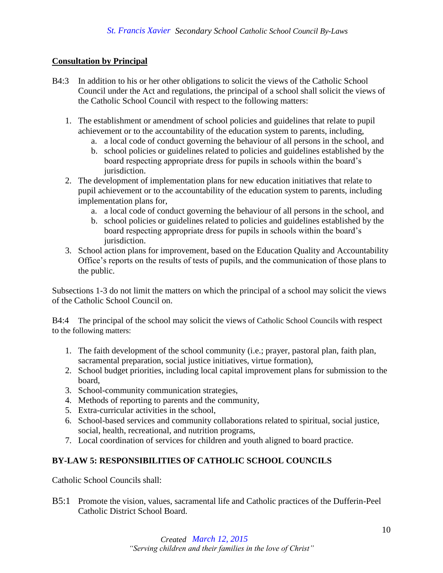# <span id="page-10-0"></span>**Consultation by Principal**

- B4:3 In addition to his or her other obligations to solicit the views of the Catholic School Council under the Act and regulations, the principal of a school shall solicit the views of the Catholic School Council with respect to the following matters:
	- 1. The establishment or amendment of school policies and guidelines that relate to pupil achievement or to the accountability of the education system to parents, including,
		- a. a local code of conduct governing the behaviour of all persons in the school, and
		- b. school policies or guidelines related to policies and guidelines established by the board respecting appropriate dress for pupils in schools within the board's jurisdiction.
	- 2. The development of implementation plans for new education initiatives that relate to pupil achievement or to the accountability of the education system to parents, including implementation plans for,
		- a. a local code of conduct governing the behaviour of all persons in the school, and
		- b. school policies or guidelines related to policies and guidelines established by the board respecting appropriate dress for pupils in schools within the board's jurisdiction.
	- 3. School action plans for improvement, based on the Education Quality and Accountability Office's reports on the results of tests of pupils, and the communication of those plans to the public.

Subsections 1-3 do not limit the matters on which the principal of a school may solicit the views of the Catholic School Council on.

B4:4 The principal of the school may solicit the views of Catholic School Councils with respect to the following matters:

- 1. The faith development of the school community (i.e.; prayer, pastoral plan, faith plan, sacramental preparation, social justice initiatives, virtue formation),
- 2. School budget priorities, including local capital improvement plans for submission to the board,
- 3. School-community communication strategies,
- 4. Methods of reporting to parents and the community,
- 5. Extra-curricular activities in the school,
- 6. School-based services and community collaborations related to spiritual, social justice, social, health, recreational, and nutrition programs,
- 7. Local coordination of services for children and youth aligned to board practice.

# <span id="page-10-1"></span>**BY-LAW 5: RESPONSIBILITIES OF CATHOLIC SCHOOL COUNCILS**

Catholic School Councils shall:

B5:1 Promote the vision, values, sacramental life and Catholic practices of the Dufferin-Peel Catholic District School Board.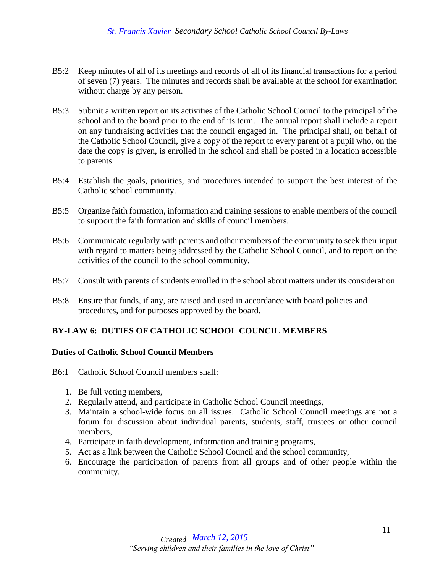- B5:2 Keep minutes of all of its meetings and records of all of its financial transactions for a period of seven (7) years. The minutes and records shall be available at the school for examination without charge by any person.
- B5:3 Submit a written report on its activities of the Catholic School Council to the principal of the school and to the board prior to the end of its term. The annual report shall include a report on any fundraising activities that the council engaged in. The principal shall, on behalf of the Catholic School Council, give a copy of the report to every parent of a pupil who, on the date the copy is given, is enrolled in the school and shall be posted in a location accessible to parents.
- B5:4 Establish the goals, priorities, and procedures intended to support the best interest of the Catholic school community.
- B5:5 Organize faith formation, information and training sessions to enable members of the council to support the faith formation and skills of council members.
- B5:6 Communicate regularly with parents and other members of the community to seek their input with regard to matters being addressed by the Catholic School Council, and to report on the activities of the council to the school community.
- B5:7 Consult with parents of students enrolled in the school about matters under its consideration.
- B5:8 Ensure that funds, if any, are raised and used in accordance with board policies and procedures, and for purposes approved by the board.

# <span id="page-11-0"></span>**BY-LAW 6: DUTIES OF CATHOLIC SCHOOL COUNCIL MEMBERS**

#### <span id="page-11-1"></span>**Duties of Catholic School Council Members**

- B6:1 Catholic School Council members shall:
	- 1. Be full voting members,
	- 2. Regularly attend, and participate in Catholic School Council meetings,
	- 3. Maintain a school-wide focus on all issues. Catholic School Council meetings are not a forum for discussion about individual parents, students, staff, trustees or other council members,
	- 4. Participate in faith development, information and training programs,
	- 5. Act as a link between the Catholic School Council and the school community,
	- 6. Encourage the participation of parents from all groups and of other people within the community.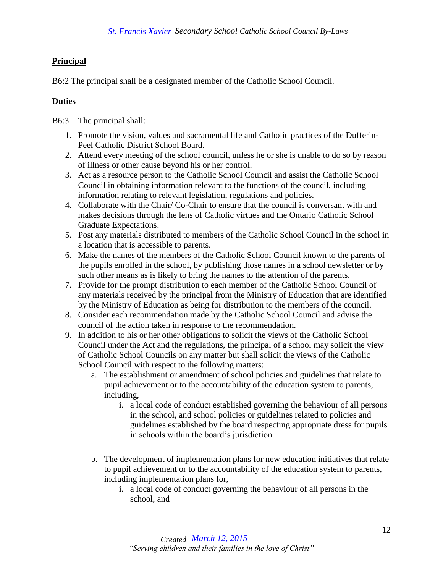# <span id="page-12-0"></span>**Principal**

B6:2 The principal shall be a designated member of the Catholic School Council.

# **Duties**

- B6:3 The principal shall:
	- 1. Promote the vision, values and sacramental life and Catholic practices of the Dufferin-Peel Catholic District School Board.
	- 2. Attend every meeting of the school council, unless he or she is unable to do so by reason of illness or other cause beyond his or her control.
	- 3. Act as a resource person to the Catholic School Council and assist the Catholic School Council in obtaining information relevant to the functions of the council, including information relating to relevant legislation, regulations and policies.
	- 4. Collaborate with the Chair/ Co-Chair to ensure that the council is conversant with and makes decisions through the lens of Catholic virtues and the Ontario Catholic School Graduate Expectations.
	- 5. Post any materials distributed to members of the Catholic School Council in the school in a location that is accessible to parents.
	- 6. Make the names of the members of the Catholic School Council known to the parents of the pupils enrolled in the school, by publishing those names in a school newsletter or by such other means as is likely to bring the names to the attention of the parents.
	- 7. Provide for the prompt distribution to each member of the Catholic School Council of any materials received by the principal from the Ministry of Education that are identified by the Ministry of Education as being for distribution to the members of the council.
	- 8. Consider each recommendation made by the Catholic School Council and advise the council of the action taken in response to the recommendation.
	- 9. In addition to his or her other obligations to solicit the views of the Catholic School Council under the Act and the regulations, the principal of a school may solicit the view of Catholic School Councils on any matter but shall solicit the views of the Catholic School Council with respect to the following matters:
		- a. The establishment or amendment of school policies and guidelines that relate to pupil achievement or to the accountability of the education system to parents, including,
			- i. a local code of conduct established governing the behaviour of all persons in the school, and school policies or guidelines related to policies and guidelines established by the board respecting appropriate dress for pupils in schools within the board's jurisdiction.
		- b. The development of implementation plans for new education initiatives that relate to pupil achievement or to the accountability of the education system to parents, including implementation plans for,
			- i. a local code of conduct governing the behaviour of all persons in the school, and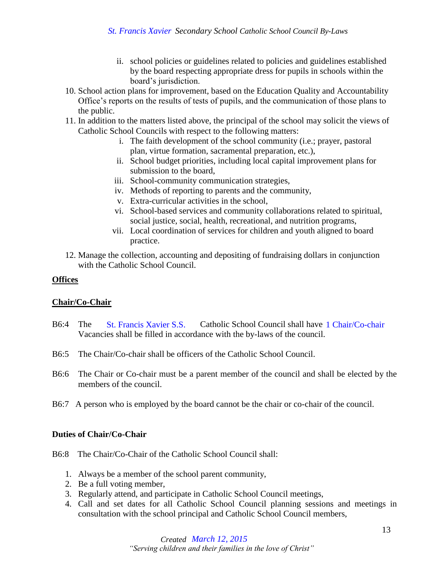- ii. school policies or guidelines related to policies and guidelines established by the board respecting appropriate dress for pupils in schools within the board's jurisdiction.
- 10. School action plans for improvement, based on the Education Quality and Accountability Office's reports on the results of tests of pupils, and the communication of those plans to the public.
- 11. In addition to the matters listed above, the principal of the school may solicit the views of Catholic School Councils with respect to the following matters:
	- i. The faith development of the school community (i.e.; prayer, pastoral plan, virtue formation, sacramental preparation, etc.),
	- ii. School budget priorities, including local capital improvement plans for submission to the board,
	- iii. School-community communication strategies,
	- iv. Methods of reporting to parents and the community,
	- v. Extra-curricular activities in the school,
	- vi. School-based services and community collaborations related to spiritual, social justice, social, health, recreational, and nutrition programs,
	- vii. Local coordination of services for children and youth aligned to board practice.
- 12. Manage the collection, accounting and depositing of fundraising dollars in conjunction with the Catholic School Council.

#### <span id="page-13-0"></span>**Offices**

# <span id="page-13-1"></span>**Chair/Co-Chair**

- B6:4 The St. Francis Xavier S.S. Catholic School Council shall have 1 Chair/Co-chair Vacancies shall be filled in accordance with the by-laws of the council.
- B6:5 The Chair/Co-chair shall be officers of the Catholic School Council.
- B6:6 The Chair or Co-chair must be a parent member of the council and shall be elected by the members of the council. **St. Francis Xavier S.S.** Catholic School Council shall have 1 Chair/Co-chair es shall be filled in accordance with the by-laws of the council.<br>
iir/Co-chair shall be officers of the Catholic School Council.<br>
iir or Co-cha
- B6:7 A person who is employed by the board cannot be the chair or co-chair of the council.

#### **Duties of Chair/Co-Chair**

- B6:8 The Chair/Co-Chair of the Catholic School Council shall:
	- 1. Always be a member of the school parent community,
	- 2. Be a full voting member,
	- 3. Regularly attend, and participate in Catholic School Council meetings,
	- 4. Call and set dates for all Catholic School Council planning sessions and meetings in consultation with the school principal and Catholic School Council members,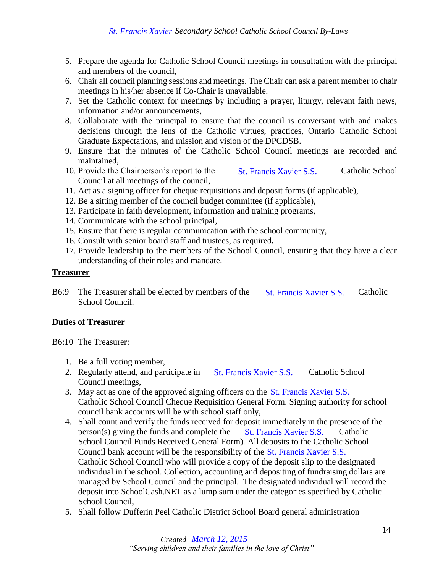- 5. Prepare the agenda for Catholic School Council meetings in consultation with the principal and members of the council,
- 6. Chair all council planning sessions and meetings. The Chair can ask a parent member to chair meetings in his/her absence if Co-Chair is unavailable.
- 7. Set the Catholic context for meetings by including a prayer, liturgy, relevant faith news, information and/or announcements,
- 8. Collaborate with the principal to ensure that the council is conversant with and makes decisions through the lens of the Catholic virtues, practices, Ontario Catholic School Graduate Expectations, and mission and vision of the DPCDSB.
- 9. Ensure that the minutes of the Catholic School Council meetings are recorded and maintained,
- 10. Provide the Chairperson's report to the St. Francis Xavier S.S. Catholic School Council at all meetings of the council,
- 11. Act as a signing officer for cheque requisitions and deposit forms (if applicable),
- 12. Be a sitting member of the council budget committee (if applicable),
- 13. Participate in faith development, information and training programs,
- 14. Communicate with the school principal,
- 15. Ensure that there is regular communication with the school community,
- 16. Consult with senior board staff and trustees, as required**,**
- 17. Provide leadership to the members of the School Council, ensuring that they have a clear understanding of their roles and mandate.

#### <span id="page-14-0"></span>**Treasurer**

B6:9 The Treasurer shall be elected by members of the St. Francis Xavier S.S. Catholic School Council.

#### **Duties of Treasurer**

- B6:10 The Treasurer:
	- 1. Be a full voting member,
	- 2. Regularly attend, and participate in St. Francis Xavier S.S. Catholic School Council meetings,
	- 3. May act as one of the approved signing officers on the St. Francis Xavier S.S. Catholic School Council Cheque Requisition General Form. Signing authority for school council bank accounts will be with school staff only,
- 4. Shall count and verify the funds received for deposit immediately in the presence of the person(s) giving the funds and complete the  $\overline{St}$ . Francis Xavier S.S. Catholic School Council Funds Received General Form). All deposits to the Catholic School Council bank account will be the responsibility of the St. Francis Xavier S.S. Catholic School Council who will provide a copy of the deposit slip to the designated individual in the school. Collection, accounting and depositing of fundraising dollars are managed by School Council and the principal. The designated individual will record the deposit into SchoolCash.NET as a lump sum under the categories specified by Catholic School Council, *March 12, 2015*<br> *March 12, 2015*<br> *March 12, 2015*<br> *March 12, Bubget committee (if applicable), information and training programs, incipal, information with the school community, mal trustees, as required, ers of the Sc* 
	- 5. Shall follow Dufferin Peel Catholic District School Board general administration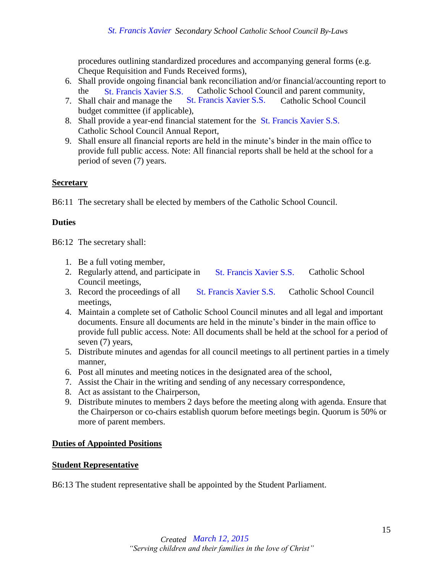procedures outlining standardized procedures and accompanying general forms (e.g. Cheque Requisition and Funds Received forms),

- 6. Shall provide ongoing financial bank reconciliation and/or financial/accounting report to the St. Francis Xavier S.S. Catholic School Council and parent community,
- 7. Shall chair and manage the St. Francis Xavier S.S. Catholic School Council budget committee (if applicable),
- 8. Shall provide a year-end financial statement for the St. Francis Xavier S.S. Catholic School Council Annual Report,
- 9. Shall ensure all financial reports are held in the minute's binder in the main office to provide full public access. Note: All financial reports shall be held at the school for a period of seven (7) years.

#### <span id="page-15-0"></span>**Secretary**

B6:11 The secretary shall be elected by members of the Catholic School Council.

# **Duties**

B6:12 The secretary shall:

- 1. Be a full voting member,
- 2. Regularly attend, and participate in St. Francis Xavier S.S. Catholic School Council meetings,
- 3. Record the proceedings of all St. Francis Xavier S.S. Catholic School Council meetings,
- 4. Maintain a complete set of Catholic School Council minutes and all legal and important documents. Ensure all documents are held in the minute's binder in the main office to provide full public access. Note: All documents shall be held at the school for a period of seven (7) years, *M*: Francis Xavier S.S. Catholic School Council and parent committed (if applicable).<br>
Mari and manage the S. B. Francis Xavier S.S. Catholic School Council Amatal Report,<br>
ocommitted (if applicable).<br>
May the steaded Mar
- 5. Distribute minutes and agendas for all council meetings to all pertinent parties in a timely manner,
- 6. Post all minutes and meeting notices in the designated area of the school,
- 7. Assist the Chair in the writing and sending of any necessary correspondence,
- 8. Act as assistant to the Chairperson,
- 9. Distribute minutes to members 2 days before the meeting along with agenda. Ensure that the Chairperson or co-chairs establish quorum before meetings begin. Quorum is 50% or more of parent members.

# <span id="page-15-1"></span>**Duties of Appointed Positions**

#### <span id="page-15-2"></span>**Student Representative**

B6:13 The student representative shall be appointed by the Student Parliament.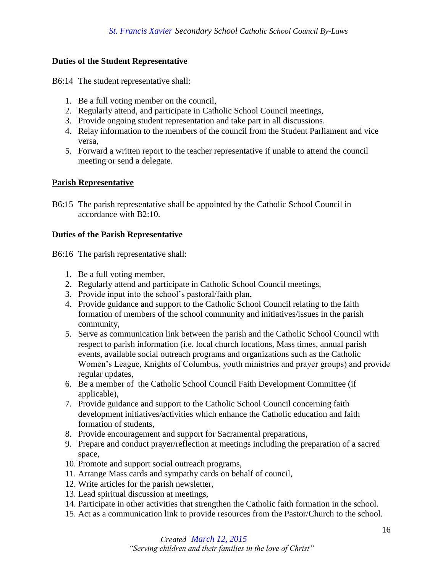### **Duties of the Student Representative**

B6:14 The student representative shall:

- 1. Be a full voting member on the council,
- 2. Regularly attend, and participate in Catholic School Council meetings,
- 3. Provide ongoing student representation and take part in all discussions.
- 4. Relay information to the members of the council from the Student Parliament and vice versa,
- 5. Forward a written report to the teacher representative if unable to attend the council meeting or send a delegate.

#### <span id="page-16-0"></span>**Parish Representative**

B6:15 The parish representative shall be appointed by the Catholic School Council in accordance with B2:10.

#### **Duties of the Parish Representative**

B6:16 The parish representative shall:

- 1. Be a full voting member,
- 2. Regularly attend and participate in Catholic School Council meetings,
- 3. Provide input into the school's pastoral/faith plan,
- 4. Provide guidance and support to the Catholic School Council relating to the faith formation of members of the school community and initiatives/issues in the parish community,
- 5. Serve as communication link between the parish and the Catholic School Council with respect to parish information (i.e. local church locations, Mass times, annual parish events, available social outreach programs and organizations such as the Catholic Women's League, Knights of Columbus, youth ministries and prayer groups) and provide regular updates,
- 6. Be a member of the Catholic School Council Faith Development Committee (if applicable),
- 7. Provide guidance and support to the Catholic School Council concerning faith development initiatives/activities which enhance the Catholic education and faith formation of students,
- 8. Provide encouragement and support for Sacramental preparations,
- 9. Prepare and conduct prayer/reflection at meetings including the preparation of a sacred space,
- 10. Promote and support social outreach programs,
- 11. Arrange Mass cards and sympathy cards on behalf of council,
- 12. Write articles for the parish newsletter,
- 13. Lead spiritual discussion at meetings,
- 14. Participate in other activities that strengthen the Catholic faith formation in the school.
- 15. Act as a communication link to provide resources from the Pastor/Church to the school.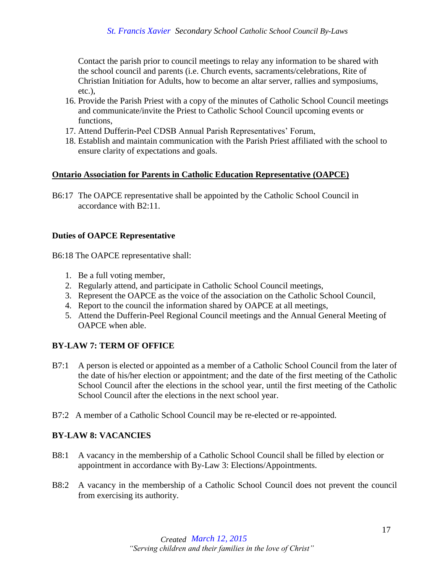Contact the parish prior to council meetings to relay any information to be shared with the school council and parents (i.e. Church events, sacraments/celebrations, Rite of Christian Initiation for Adults, how to become an altar server, rallies and symposiums, etc.),

- 16. Provide the Parish Priest with a copy of the minutes of Catholic School Council meetings and communicate/invite the Priest to Catholic School Council upcoming events or functions,
- 17. Attend Dufferin-Peel CDSB Annual Parish Representatives' Forum,
- 18. Establish and maintain communication with the Parish Priest affiliated with the school to ensure clarity of expectations and goals.

#### <span id="page-17-0"></span>**Ontario Association for Parents in Catholic Education Representative (OAPCE)**

B6:17 The OAPCE representative shall be appointed by the Catholic School Council in accordance with B2:11.

#### **Duties of OAPCE Representative**

B6:18 The OAPCE representative shall:

- 1. Be a full voting member,
- 2. Regularly attend, and participate in Catholic School Council meetings,
- 3. Represent the OAPCE as the voice of the association on the Catholic School Council,
- 4. Report to the council the information shared by OAPCE at all meetings,
- 5. Attend the Dufferin-Peel Regional Council meetings and the Annual General Meeting of OAPCE when able.

# <span id="page-17-1"></span>**BY-LAW 7: TERM OF OFFICE**

- B7:1 A person is elected or appointed as a member of a Catholic School Council from the later of the date of his/her election or appointment; and the date of the first meeting of the Catholic School Council after the elections in the school year, until the first meeting of the Catholic School Council after the elections in the next school year.
- B7:2 A member of a Catholic School Council may be re-elected or re-appointed.

# <span id="page-17-2"></span>**BY-LAW 8: VACANCIES**

- B8:1 A vacancy in the membership of a Catholic School Council shall be filled by election or appointment in accordance with By-Law 3: Elections/Appointments.
- B8:2 A vacancy in the membership of a Catholic School Council does not prevent the council from exercising its authority.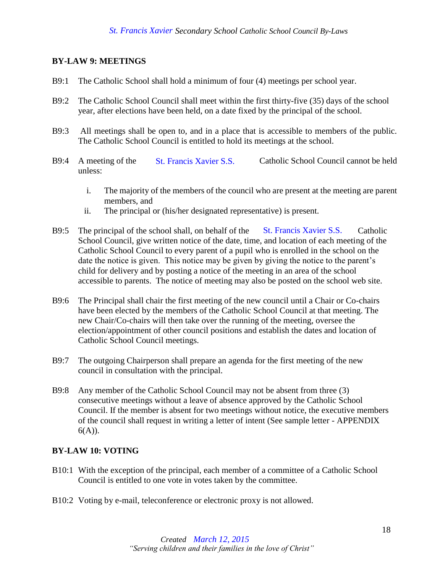### <span id="page-18-0"></span>**BY-LAW 9: MEETINGS**

- B9:1 The Catholic School shall hold a minimum of four (4) meetings per school year.
- B9:2 The Catholic School Council shall meet within the first thirty-five (35) days of the school year, after elections have been held, on a date fixed by the principal of the school.
- B9:3 All meetings shall be open to, and in a place that is accessible to members of the public. The Catholic School Council is entitled to hold its meetings at the school.
- B9:4 A meeting of the St. Francis Xavier S.S. Catholic School Council cannot be held unless:
	- i. The majority of the members of the council who are present at the meeting are parent members, and
	- ii. The principal or (his/her designated representative) is present.
- B9:5 The principal of the school shall, on behalf of the St. Francis Xavier S.S. Catholic School Council, give written notice of the date, time, and location of each meeting of the Catholic School Council to every parent of a pupil who is enrolled in the school on the date the notice is given. This notice may be given by giving the notice to the parent's child for delivery and by posting a notice of the meeting in an area of the school accessible to parents. The notice of meeting may also be posted on the school web site. St. Francis Xavier S.S. Catholic School Counci<br>
of the members of the council who are present at the me<br>
or (his/her designated representative) is present.<br>
hool shall, on behalf of the St. Francis Xavier S.S.<br>
written not
- B9:6 The Principal shall chair the first meeting of the new council until a Chair or Co-chairs have been elected by the members of the Catholic School Council at that meeting. The new Chair/Co-chairs will then take over the running of the meeting, oversee the election/appointment of other council positions and establish the dates and location of Catholic School Council meetings.
- B9:7 The outgoing Chairperson shall prepare an agenda for the first meeting of the new council in consultation with the principal.
- B9:8 Any member of the Catholic School Council may not be absent from three (3) consecutive meetings without a leave of absence approved by the Catholic School Council. If the member is absent for two meetings without notice, the executive members of the council shall request in writing a letter of intent (See sample letter - APPENDIX  $6(A)$ ).

#### <span id="page-18-1"></span>**BY-LAW 10: VOTING**

- B10:1 With the exception of the principal, each member of a committee of a Catholic School Council is entitled to one vote in votes taken by the committee.
- B10:2 Voting by e-mail, teleconference or electronic proxy is not allowed.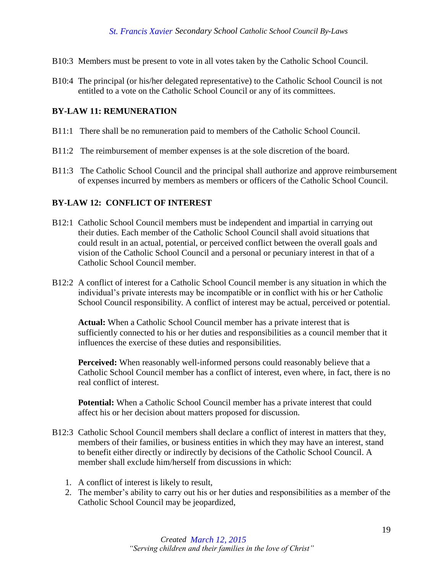- B10:3 Members must be present to vote in all votes taken by the Catholic School Council.
- B10:4 The principal (or his/her delegated representative) to the Catholic School Council is not entitled to a vote on the Catholic School Council or any of its committees.

#### <span id="page-19-0"></span>**BY-LAW 11: REMUNERATION**

- B11:1 There shall be no remuneration paid to members of the Catholic School Council.
- B11:2 The reimbursement of member expenses is at the sole discretion of the board.
- B11:3 The Catholic School Council and the principal shall authorize and approve reimbursement of expenses incurred by members as members or officers of the Catholic School Council.

#### <span id="page-19-1"></span>**BY-LAW 12: CONFLICT OF INTEREST**

- B12:1 Catholic School Council members must be independent and impartial in carrying out their duties. Each member of the Catholic School Council shall avoid situations that could result in an actual, potential, or perceived conflict between the overall goals and vision of the Catholic School Council and a personal or pecuniary interest in that of a Catholic School Council member.
- B12:2 A conflict of interest for a Catholic School Council member is any situation in which the individual's private interests may be incompatible or in conflict with his or her Catholic School Council responsibility. A conflict of interest may be actual, perceived or potential.

**Actual:** When a Catholic School Council member has a private interest that is sufficiently connected to his or her duties and responsibilities as a council member that it influences the exercise of these duties and responsibilities.

**Perceived:** When reasonably well-informed persons could reasonably believe that a Catholic School Council member has a conflict of interest, even where, in fact, there is no real conflict of interest.

**Potential:** When a Catholic School Council member has a private interest that could affect his or her decision about matters proposed for discussion.

- B12:3 Catholic School Council members shall declare a conflict of interest in matters that they, members of their families, or business entities in which they may have an interest, stand to benefit either directly or indirectly by decisions of the Catholic School Council. A member shall exclude him/herself from discussions in which:
	- 1. A conflict of interest is likely to result,
	- 2. The member's ability to carry out his or her duties and responsibilities as a member of the Catholic School Council may be jeopardized,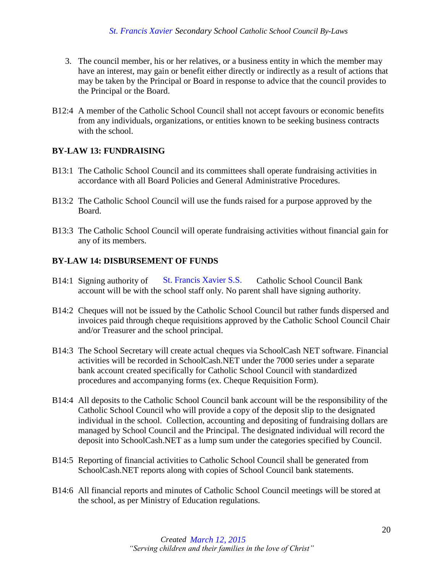- 3. The council member, his or her relatives, or a business entity in which the member may have an interest, may gain or benefit either directly or indirectly as a result of actions that may be taken by the Principal or Board in response to advice that the council provides to the Principal or the Board.
- B12:4 A member of the Catholic School Council shall not accept favours or economic benefits from any individuals, organizations, or entities known to be seeking business contracts with the school.

# <span id="page-20-0"></span>**BY-LAW 13: FUNDRAISING**

- B13:1 The Catholic School Council and its committees shall operate fundraising activities in accordance with all Board Policies and General Administrative Procedures.
- B13:2 The Catholic School Council will use the funds raised for a purpose approved by the Board.
- B13:3 The Catholic School Council will operate fundraising activities without financial gain for any of its members.

# <span id="page-20-1"></span>**BY-LAW 14: DISBURSEMENT OF FUNDS**

- B14:1 Signing authority of St. Francis Xavier S.S. Catholic School Council Bank account will be with the school staff only. No parent shall have signing authority.
- B14:2 Cheques will not be issued by the Catholic School Council but rather funds dispersed and invoices paid through cheque requisitions approved by the Catholic School Council Chair and/or Treasurer and the school principal.
- B14:3 The School Secretary will create actual cheques via SchoolCash NET software. Financial activities will be recorded in SchoolCash.NET under the 7000 series under a separate bank account created specifically for Catholic School Council with standardized procedures and accompanying forms (ex. Cheque Requisition Form).
- B14:4 All deposits to the Catholic School Council bank account will be the responsibility of the Catholic School Council who will provide a copy of the deposit slip to the designated individual in the school. Collection, accounting and depositing of fundraising dollars are managed by School Council and the Principal. The designated individual will record the deposit into SchoolCash.NET as a lump sum under the categories specified by Council. St. Francis Xavier S.S.<br>school staff only. No pa<br>ed by the Catholic Scho<br>eque requisitions approv<br>school principal.<br>Il create actual cheques<br>d in SchoolCash.NET u<br>ecifically for Catholic Sc<br>mying forms (ex. Chequ<br>blic Scho
- B14:5 Reporting of financial activities to Catholic School Council shall be generated from SchoolCash.NET reports along with copies of School Council bank statements.
- B14:6 All financial reports and minutes of Catholic School Council meetings will be stored at the school, as per Ministry of Education regulations.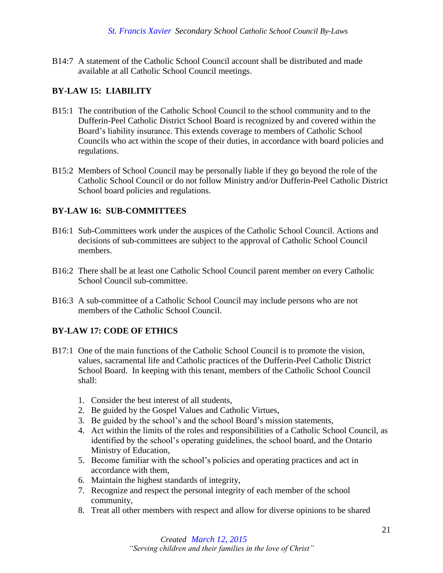B14:7 A statement of the Catholic School Council account shall be distributed and made available at all Catholic School Council meetings.

# <span id="page-21-0"></span>**BY-LAW 15: LIABILITY**

- B15:1 The contribution of the Catholic School Council to the school community and to the Dufferin-Peel Catholic District School Board is recognized by and covered within the Board's liability insurance. This extends coverage to members of Catholic School Councils who act within the scope of their duties, in accordance with board policies and regulations.
- B15:2 Members of School Council may be personally liable if they go beyond the role of the Catholic School Council or do not follow Ministry and/or Dufferin-Peel Catholic District School board policies and regulations.

# <span id="page-21-1"></span>**BY-LAW 16: SUB-COMMITTEES**

- B16:1 Sub-Committees work under the auspices of the Catholic School Council. Actions and decisions of sub-committees are subject to the approval of Catholic School Council members.
- B16:2 There shall be at least one Catholic School Council parent member on every Catholic School Council sub-committee.
- B16:3 A sub-committee of a Catholic School Council may include persons who are not members of the Catholic School Council.

# <span id="page-21-2"></span>**BY-LAW 17: CODE OF ETHICS**

- B17:1 One of the main functions of the Catholic School Council is to promote the vision, values, sacramental life and Catholic practices of the Dufferin-Peel Catholic District School Board. In keeping with this tenant, members of the Catholic School Council shall:
	- 1. Consider the best interest of all students,
	- 2. Be guided by the Gospel Values and Catholic Virtues,
	- 3. Be guided by the school's and the school Board's mission statements,
	- 4. Act within the limits of the roles and responsibilities of a Catholic School Council, as identified by the school's operating guidelines, the school board, and the Ontario Ministry of Education,
	- 5. Become familiar with the school's policies and operating practices and act in accordance with them,
	- 6. Maintain the highest standards of integrity,
	- 7. Recognize and respect the personal integrity of each member of the school community,
	- 8. Treat all other members with respect and allow for diverse opinions to be shared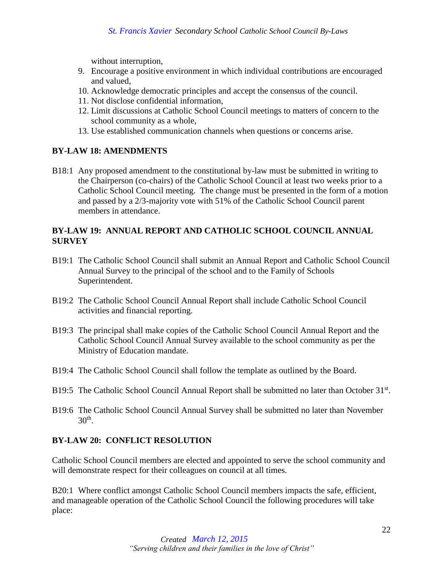without interruption,

- 9. Encourage a positive environment in which individual contributions are encouraged and valued,
- 10. Acknowledge democratic principles and accept the consensus of the council.
- 11. Not disclose confidential information,
- 12. Limit discussions at Catholic School Council meetings to matters of concern to the school community as a whole,
- 13. Use established communication channels when questions or concerns arise.

# <span id="page-22-0"></span>**BY-LAW 18: AMENDMENTS**

B18:1 Any proposed amendment to the constitutional by-law must be submitted in writing to the Chairperson (co-chairs) of the Catholic School Council at least two weeks prior to a Catholic School Council meeting. The change must be presented in the form of a motion and passed by a 2/3-majority vote with 51% of the Catholic School Council parent members in attendance.

# <span id="page-22-1"></span>**BY-LAW 19: ANNUAL REPORT AND CATHOLIC SCHOOL COUNCIL ANNUAL SURVEY**

- B19:1 The Catholic School Council shall submit an Annual Report and Catholic School Council Annual Survey to the principal of the school and to the Family of Schools Superintendent.
- B19:2 The Catholic School Council Annual Report shall include Catholic School Council activities and financial reporting.
- B19:3 The principal shall make copies of the Catholic School Council Annual Report and the Catholic School Council Annual Survey available to the school community as per the Ministry of Education mandate.
- B19:4 The Catholic School Council shall follow the template as outlined by the Board.
- B19:5 The Catholic School Council Annual Report shall be submitted no later than October 31<sup>st</sup>.
- B19:6 The Catholic School Council Annual Survey shall be submitted no later than November  $30<sup>th</sup>$ .

# <span id="page-22-2"></span>**BY-LAW 20: CONFLICT RESOLUTION**

Catholic School Council members are elected and appointed to serve the school community and will demonstrate respect for their colleagues on council at all times.

B20:1 Where conflict amongst Catholic School Council members impacts the safe, efficient, and manageable operation of the Catholic School Council the following procedures will take place: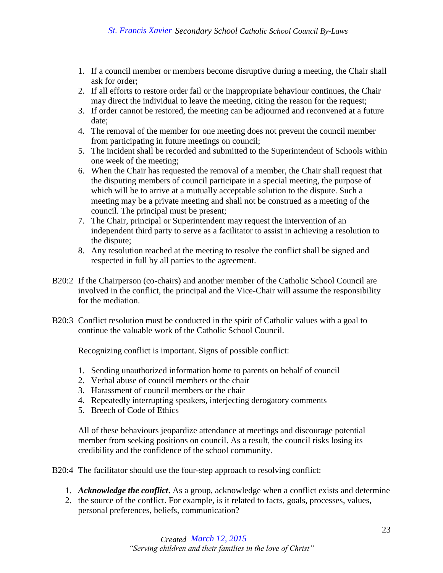- 1. If a council member or members become disruptive during a meeting, the Chair shall ask for order;
- 2. If all efforts to restore order fail or the inappropriate behaviour continues, the Chair may direct the individual to leave the meeting, citing the reason for the request;
- 3. If order cannot be restored, the meeting can be adjourned and reconvened at a future date;
- 4. The removal of the member for one meeting does not prevent the council member from participating in future meetings on council;
- 5. The incident shall be recorded and submitted to the Superintendent of Schools within one week of the meeting;
- 6. When the Chair has requested the removal of a member, the Chair shall request that the disputing members of council participate in a special meeting, the purpose of which will be to arrive at a mutually acceptable solution to the dispute. Such a meeting may be a private meeting and shall not be construed as a meeting of the council. The principal must be present;
- 7. The Chair, principal or Superintendent may request the intervention of an independent third party to serve as a facilitator to assist in achieving a resolution to the dispute;
- 8. Any resolution reached at the meeting to resolve the conflict shall be signed and respected in full by all parties to the agreement.
- B20:2 If the Chairperson (co-chairs) and another member of the Catholic School Council are involved in the conflict, the principal and the Vice-Chair will assume the responsibility for the mediation.
- B20:3 Conflict resolution must be conducted in the spirit of Catholic values with a goal to continue the valuable work of the Catholic School Council.

Recognizing conflict is important. Signs of possible conflict:

- 1. Sending unauthorized information home to parents on behalf of council
- 2. Verbal abuse of council members or the chair
- 3. Harassment of council members or the chair
- 4. Repeatedly interrupting speakers, interjecting derogatory comments
- 5. Breech of Code of Ethics

All of these behaviours jeopardize attendance at meetings and discourage potential member from seeking positions on council. As a result, the council risks losing its credibility and the confidence of the school community.

B20:4 The facilitator should use the four-step approach to resolving conflict:

- 1. *Acknowledge the conflict***.** As a group, acknowledge when a conflict exists and determine
- 2. the source of the conflict. For example, is it related to facts, goals, processes, values, personal preferences, beliefs, communication?